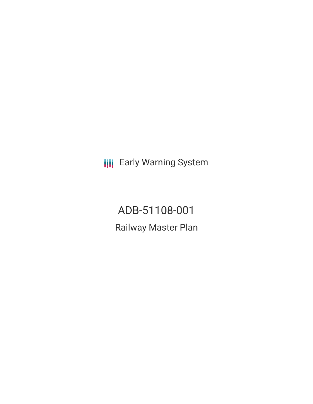**III** Early Warning System

ADB-51108-001 Railway Master Plan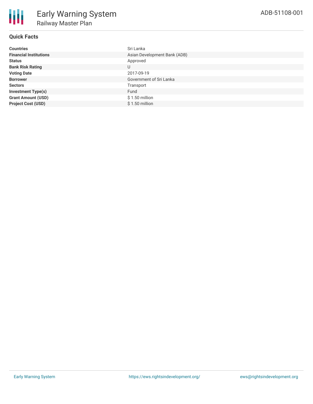# **Quick Facts**

| <b>Countries</b>              | Sri Lanka                    |
|-------------------------------|------------------------------|
| <b>Financial Institutions</b> | Asian Development Bank (ADB) |
| <b>Status</b>                 | Approved                     |
| <b>Bank Risk Rating</b>       | U                            |
| <b>Voting Date</b>            | 2017-09-19                   |
| <b>Borrower</b>               | Government of Sri Lanka      |
| <b>Sectors</b>                | Transport                    |
| <b>Investment Type(s)</b>     | Fund                         |
| <b>Grant Amount (USD)</b>     | $$1.50$ million              |
| <b>Project Cost (USD)</b>     | $$1.50$ million              |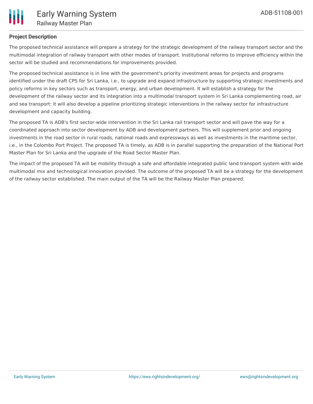

## **Project Description**

The proposed technical assistance will prepare a strategy for the strategic development of the railway transport sector and the multimodal integration of railway transport with other modes of transport. Institutional reforms to improve efficiency within the sector will be studied and recommendations for improvements provided.

The proposed technical assistance is in line with the government's priority investment areas for projects and programs identified under the draft CPS for Sri Lanka, i.e., to upgrade and expand infrastructure by supporting strategic investments and policy reforms in key sectors such as transport, energy, and urban development. It will establish a strategy for the development of the railway sector and its integration into a multimodal transport system in Sri Lanka complementing road, air and sea transport: it will also develop a pipeline prioritizing strategic interventions in the railway sector for infrastructure development and capacity building.

The proposed TA is ADB's first sector-wide intervention in the Sri Lanka rail transport sector and will pave the way for a coordinated approach into sector development by ADB and development partners. This will supplement prior and ongoing investments in the road sector in rural roads, national roads and expressways as well as investments in the maritime sector, i.e., in the Colombo Port Project. The proposed TA is timely, as ADB is in parallel supporting the preparation of the National Port Master Plan for Sri Lanka and the upgrade of the Road Sector Master Plan.

The impact of the proposed TA will be mobility through a safe and affordable integrated public land transport system with wide multimodal mix and technological innovation provided. The outcome of the proposed TA will be a strategy for the development of the railway sector established. The main output of the TA will be the Railway Master Plan prepared.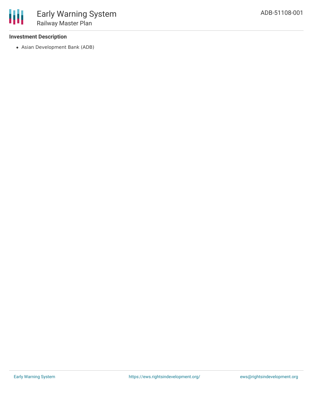## **Investment Description**

冊

Asian Development Bank (ADB)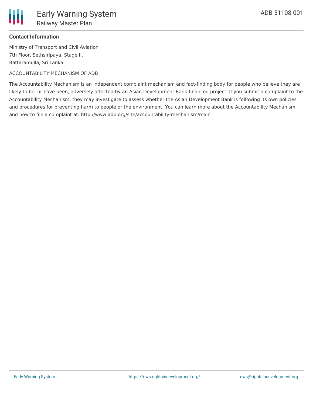

### **Contact Information**

Ministry of Transport and Civil Aviation 7th Floor, Sethsiripaya, Stage II, Battaramulla, Sri Lanka

#### ACCOUNTABILITY MECHANISM OF ADB

The Accountability Mechanism is an independent complaint mechanism and fact-finding body for people who believe they are likely to be, or have been, adversely affected by an Asian Development Bank-financed project. If you submit a complaint to the Accountability Mechanism, they may investigate to assess whether the Asian Development Bank is following its own policies and procedures for preventing harm to people or the environment. You can learn more about the Accountability Mechanism and how to file a complaint at: http://www.adb.org/site/accountability-mechanism/main